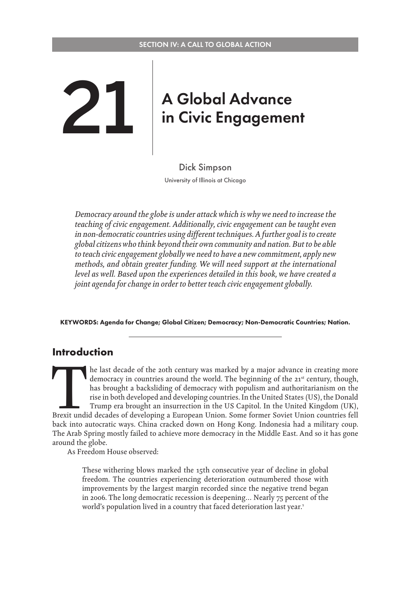# <span id="page-0-0"></span>**21 A Global Advance<br>
in Civic Engagement**

Dick Simpson University of Illinois at Chicago

*Democracy around the globe is under attack which is why we need to increase the teaching of civic engagement. Additionally, civic engagement can be taught even in non-democratic countries using different techniques. A further goal is to create global citizens who think beyond their own community and nation. But to be able to teach civic engagement globally we need to have a new commitment, apply new methods, and obtain greater funding. We will need support at the international level as well. Based upon the experiences detailed in this book, we have created a joint agenda for change in order to better teach civic engagement globally.*

KEYWORDS: Agenda for Change; Global Citizen; Democracy; Non-Democratic Countries; Nation.

#### **Introduction**

The last decade of the 20th century was marked by a major advance in creating more democracy in countries around the world. The beginning of the 21<sup>st</sup> century, though, has brought a backsliding of democracy with populism democracy in countries around the world. The beginning of the 21<sup>st</sup> century, though, has brought a backsliding of democracy with populism and authoritarianism on the rise in both developed and developing countries. In the United States (US), the Donald Trump era brought an insurrection in the US Capitol. In the United Kingdom (UK), back into autocratic ways. China cracked down on Hong Kong. Indonesia had a military coup. The Arab Spring mostly failed to achieve more democracy in the Middle East. And so it has gone around the globe.

As Freedom House observed:

These withering blows marked the 15th consecutive year of decline in global freedom. The countries experiencing deterioration outnumbered those with improvements by the largest margin recorded since the negative trend began in 2006. The long democratic recession is deepening… Nearly 75 percent of the world's population lived in a country that faced deterioration last year.<sup>1</sup>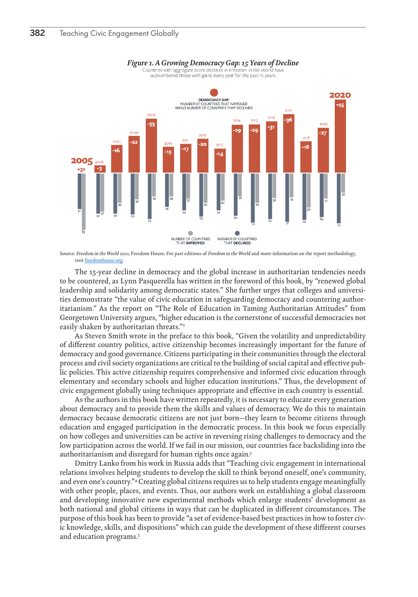<span id="page-1-0"></span>

Source: *Freedom in the World 2021,* Freedom House; For past editions of *Freedom in the World* and more information on the report methodology, visit [freedomhouse.org.](http://freedomhouse.org)

The 15-year decline in democracy and the global increase in authoritarian tendencies needs to be countered, as Lynn Pasquerella has written in the foreword of this book, by "renewed global leadership and solidarity among democratic states." She further urges that colleges and universities demonstrate "the value of civic education in safeguarding democracy and countering authoritarianism." As the report on "The Role of Education in Taming Authoritarian Attitudes" from Georgetown University argues, "higher education is the cornerstone of successful democracies not easily shaken by authoritarian threats."<sup>2</sup>

As Steven Smith wrote in the preface to this book, "Given the volatility and unpredictability of different country politics, active citizenship becomes increasingly important for the future of democracy and good governance. Citizens participating in their communities through the electoral process and civil society organizations are critical to the building of social capital and effective public policies. This active citizenship requires comprehensive and informed civic education through elementary and secondary schools and higher education institutions." Thus, the development of civic engagement globally using techniques appropriate and effective in each country is essential.

As the authors in this book have written repeatedly, it is necessary to educate every generation about democracy and to provide them the skills and values of democracy. We do this to maintain democracy because democratic citizens are not just born—they learn to become citizens through education and engaged participation in the democratic process. In this book we focus especially on how colleges and universities can be active in reversing rising challenges to democracy and the low participation across the world. If we fail in our mission, our countries face backsliding into the authoritarianism and disregard for human rights once again[.3](#page-9-0)

Dmitry Lanko from his work in Russia adds that "Teaching civic engagement in international relations involves helping students to develop the skill to think beyond oneself, one's community, and even one's country."[4](#page-9-0) Creating global citizens requires us to help students engage meaningfully with other people, places, and events. Thus, our authors work on establishing a global classroom and developing innovative new experimental methods which enlarge students' development as both national and global citizens in ways that can be duplicated in different circumstances. The purpose of this book has been to provide "a set of evidence-based best practices in how to foster civic knowledge, skills, and dispositions" which can guide the development of these different courses and education programs[.5](#page-9-0)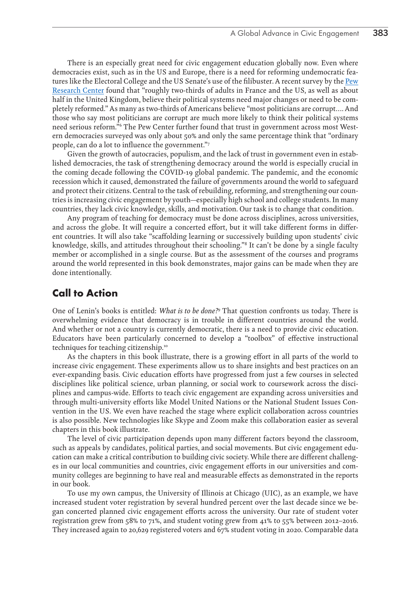<span id="page-2-0"></span>There is an especially great need for civic engagement education globally now. Even where democracies exist, such as in the US and Europe, there is a need for reforming undemocratic features like the Electoral College and the US Senate's use of the filibuster. A recent survey by the [Pew](https://www.pewresearch.org/global/2021/03/31/many-in-us-western-europe-say-their-political-system-needs-major-reform/) [Research Center](https://www.pewresearch.org/global/2021/03/31/many-in-us-western-europe-say-their-political-system-needs-major-reform/) found that "roughly two-thirds of adults in France and the US, as well as about half in the United Kingdom, believe their political systems need major changes or need to be completely reformed." As many as two-thirds of Americans believe "most politicians are corrupt…. And those who say most politicians are corrupt are much more likely to think their political systems need serious reform.["6](#page-9-0) The Pew Center further found that trust in government across most Western democracies surveyed was only about 50% and only the same percentage think that "ordinary people, can do a lot to influence the government.["7](#page-9-0)

Given the growth of autocracies, populism, and the lack of trust in government even in established democracies, the task of strengthening democracy around the world is especially crucial in the coming decade following the COVID-19 global pandemic. The pandemic, and the economic recession which it caused, demonstrated the failure of governments around the world to safeguard and protect their citizens. Central to the task of rebuilding, reforming, and strengthening our countries is increasing civic engagement by youth—especially high school and college students. In many countries, they lack civic knowledge, skills, and motivation. Our task is to change that condition.

Any program of teaching for democracy must be done across disciplines, across universities, and across the globe. It will require a concerted effort, but it will take different forms in different countries. It will also take "scaffolding learning or successively building upon students' civic knowledge, skills, and attitudes throughout their schooling.["8](#page-9-0) It can't be done by a single faculty member or accomplished in a single course. But as the assessment of the courses and programs around the world represented in this book demonstrates, major gains can be made when they are done intentionally.

## **Call to Action**

One of Lenin's books is entitled: *What is to be done?[9](#page-9-0)* That question confronts us today. There is overwhelming evidence that democracy is in trouble in different countries around the world. And whether or not a country is currently democratic, there is a need to provide civic education. Educators have been particularly concerned to develop a "toolbox" of effective instructional techniques for teaching citizenship[.10](#page-9-0)

As the chapters in this book illustrate, there is a growing effort in all parts of the world to increase civic engagement. These experiments allow us to share insights and best practices on an ever-expanding basis. Civic education efforts have progressed from just a few courses in selected disciplines like political science, urban planning, or social work to coursework across the disciplines and campus-wide. Efforts to teach civic engagement are expanding across universities and through multi-university efforts like Model United Nations or the National Student Issues Convention in the US. We even have reached the stage where explicit collaboration across countries is also possible. New technologies like Skype and Zoom make this collaboration easier as several chapters in this book illustrate.

The level of civic participation depends upon many different factors beyond the classroom, such as appeals by candidates, political parties, and social movements. But civic engagement education can make a critical contribution to building civic society. While there are different challenges in our local communities and countries, civic engagement efforts in our universities and community colleges are beginning to have real and measurable effects as demonstrated in the reports in our book.

To use my own campus, the University of Illinois at Chicago (UIC), as an example, we have increased student voter registration by several hundred percent over the last decade since we began concerted planned civic engagement efforts across the university. Our rate of student voter registration grew from 58% to 71%, and student voting grew from 41% to 55% between 2012–2016. They increased again to 20,629 registered voters and 67% student voting in 2020. Comparable data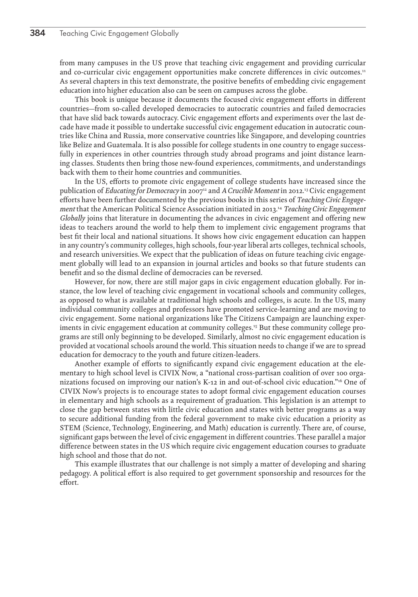<span id="page-3-0"></span>from many campuses in the US prove that teaching civic engagement and providing curricular and co-curricular civic engagement opportunities make concrete differences in civic outcomes.<sup>[11](#page-9-0)</sup> As several chapters in this text demonstrate, the positive benefits of embedding civic engagement education into higher education also can be seen on campuses across the globe.

This book is unique because it documents the focused civic engagement efforts in different countries—from so-called developed democracies to autocratic countries and failed democracies that have slid back towards autocracy. Civic engagement efforts and experiments over the last decade have made it possible to undertake successful civic engagement education in autocratic countries like China and Russia, more conservative countries like Singapore, and developing countries like Belize and Guatemala. It is also possible for college students in one country to engage successfully in experiences in other countries through study abroad programs and joint distance learning classes. Students then bring those new-found experiences, commitments, and understandings back with them to their home countries and communities.

In the US, efforts to promote civic engagement of college students have increased since the publication of *Educating for Democracy* in 2007[12](#page-9-0) and *A Crucible Moment* in 2012.[13](#page-9-0) Civic engagement efforts have been further documented by the previous books in this series of *Teaching Civic Engagement* that the American Political Science Association initiated in 2013.[14](#page-9-0) *Teaching Civic Engagement Globally* joins that literature in documenting the advances in civic engagement and offering new ideas to teachers around the world to help them to implement civic engagement programs that best fit their local and national situations. It shows how civic engagement education can happen in any country's community colleges, high schools, four-year liberal arts colleges, technical schools, and research universities. We expect that the publication of ideas on future teaching civic engagement globally will lead to an expansion in journal articles and books so that future students can benefit and so the dismal decline of democracies can be reversed.

However, for now, there are still major gaps in civic engagement education globally. For instance, the low level of teaching civic engagement in vocational schools and community colleges, as opposed to what is available at traditional high schools and colleges, is acute. In the US, many individual community colleges and professors have promoted service-learning and are moving to civic engagement. Some national organizations like The Citizens Campaign are launching exper-iments in civic engagement education at community colleges.<sup>[15](#page-9-0)</sup> But these community college programs are still only beginning to be developed. Similarly, almost no civic engagement education is provided at vocational schools around the world. This situation needs to change if we are to spread education for democracy to the youth and future citizen-leaders.

Another example of efforts to significantly expand civic engagement education at the elementary to high school level is CIVIX Now, a "national cross-partisan coalition of over 100 organizations focused on improving our nation's K-12 in and out-of-school civic education."[16](#page-9-0) One of CIVIX Now's projects is to encourage states to adopt formal civic engagement education courses in elementary and high schools as a requirement of graduation. This legislation is an attempt to close the gap between states with little civic education and states with better programs as a way to secure additional funding from the federal government to make civic education a priority as STEM (Science, Technology, Engineering, and Math) education is currently. There are, of course, significant gaps between the level of civic engagement in different countries. These parallel a major difference between states in the US which require civic engagement education courses to graduate high school and those that do not.

This example illustrates that our challenge is not simply a matter of developing and sharing pedagogy. A political effort is also required to get government sponsorship and resources for the effort.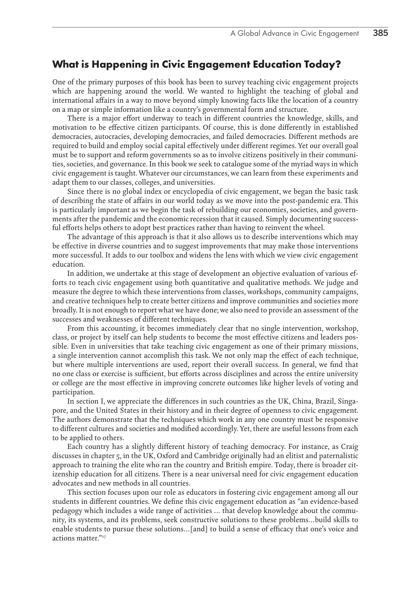## <span id="page-4-0"></span>**What is Happening in Civic Engagement Education Today?**

One of the primary purposes of this book has been to survey teaching civic engagement projects which are happening around the world. We wanted to highlight the teaching of global and international affairs in a way to move beyond simply knowing facts like the location of a country on a map or simple information like a country's governmental form and structure.

There is a major effort underway to teach in different countries the knowledge, skills, and motivation to be effective citizen participants. Of course, this is done differently in established democracies, autocracies, developing democracies, and failed democracies. Different methods are required to build and employ social capital effectively under different regimes. Yet our overall goal must be to support and reform governments so as to involve citizens positively in their communities, societies, and governance. In this book we seek to catalogue some of the myriad ways in which civic engagement is taught. Whatever our circumstances, we can learn from these experiments and adapt them to our classes, colleges, and universities.

Since there is no global index or encyclopedia of civic engagement, we began the basic task of describing the state of affairs in our world today as we move into the post-pandemic era. This is particularly important as we begin the task of rebuilding our economies, societies, and governments after the pandemic and the economic recession that it caused. Simply documenting successful efforts helps others to adopt best practices rather than having to reinvent the wheel.

The advantage of this approach is that it also allows us to describe interventions which may be effective in diverse countries and to suggest improvements that may make those interventions more successful. It adds to our toolbox and widens the lens with which we view civic engagement education.

In addition, we undertake at this stage of development an objective evaluation of various efforts to teach civic engagement using both quantitative and qualitative methods. We judge and measure the degree to which these interventions from classes, workshops, community campaigns, and creative techniques help to create better citizens and improve communities and societies more broadly. It is not enough to report what we have done; we also need to provide an assessment of the successes and weaknesses of different techniques.

From this accounting, it becomes immediately clear that no single intervention, workshop, class, or project by itself can help students to become the most effective citizens and leaders possible. Even in universities that take teaching civic engagement as one of their primary missions, a single intervention cannot accomplish this task. We not only map the effect of each technique, but where multiple interventions are used, report their overall success. In general, we find that no one class or exercise is sufficient, but efforts across disciplines and across the entire university or college are the most effective in improving concrete outcomes like higher levels of voting and participation.

In section I, we appreciate the differences in such countries as the UK, China, Brazil, Singapore, and the United States in their history and in their degree of openness to civic engagement. The authors demonstrate that the techniques which work in any one country must be responsive to different cultures and societies and modified accordingly. Yet, there are useful lessons from each to be applied to others.

Each country has a slightly different history of teaching democracy. For instance, as Craig discusses in chapter 5, in the UK, Oxford and Cambridge originally had an elitist and paternalistic approach to training the elite who ran the country and British empire. Today, there is broader citizenship education for all citizens. There is a near universal need for civic engagement education advocates and new methods in all countries.

This section focuses upon our role as educators in fostering civic engagement among all our students in different countries. We define this civic engagement education as "an evidence-based pedagogy which includes a wide range of activities … that develop knowledge about the community, its systems, and its problems, seek constructive solutions to these problems…build skills to enable students to pursue these solutions…[and] to build a sense of efficacy that one's voice and actions matter.["17](#page-9-0)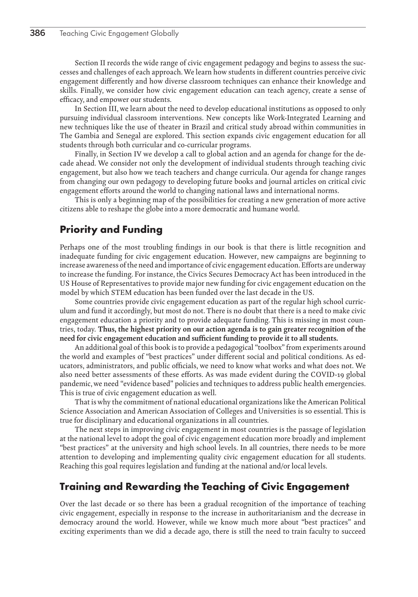Section II records the wide range of civic engagement pedagogy and begins to assess the successes and challenges of each approach. We learn how students in different countries perceive civic engagement differently and how diverse classroom techniques can enhance their knowledge and skills. Finally, we consider how civic engagement education can teach agency, create a sense of efficacy, and empower our students.

In Section III, we learn about the need to develop educational institutions as opposed to only pursuing individual classroom interventions. New concepts like Work-Integrated Learning and new techniques like the use of theater in Brazil and critical study abroad within communities in The Gambia and Senegal are explored. This section expands civic engagement education for all students through both curricular and co-curricular programs.

Finally, in Section IV we develop a call to global action and an agenda for change for the decade ahead. We consider not only the development of individual students through teaching civic engagement, but also how we teach teachers and change curricula. Our agenda for change ranges from changing our own pedagogy to developing future books and journal articles on critical civic engagement efforts around the world to changing national laws and international norms.

This is only a beginning map of the possibilities for creating a new generation of more active citizens able to reshape the globe into a more democratic and humane world.

# **Priority and Funding**

Perhaps one of the most troubling findings in our book is that there is little recognition and inadequate funding for civic engagement education. However, new campaigns are beginning to increase awareness of the need and importance of civic engagement education. Efforts are underway to increase the funding. For instance, the Civics Secures Democracy Act has been introduced in the US House of Representatives to provide major new funding for civic engagement education on the model by which STEM education has been funded over the last decade in the US.

Some countries provide civic engagement education as part of the regular high school curriculum and fund it accordingly, but most do not. There is no doubt that there is a need to make civic engagement education a priority and to provide adequate funding. This is missing in most countries, today. **Thus, the highest priority on our action agenda is to gain greater recognition of the need for civic engagement education and sufficient funding to provide it to all students.** 

An additional goal of this book is to provide a pedagogical "toolbox" from experiments around the world and examples of "best practices" under different social and political conditions. As educators, administrators, and public officials, we need to know what works and what does not. We also need better assessments of these efforts. As was made evident during the COVID-19 global pandemic, we need "evidence based" policies and techniques to address public health emergencies. This is true of civic engagement education as well.

That is why the commitment of national educational organizations like the American Political Science Association and American Association of Colleges and Universities is so essential. This is true for disciplinary and educational organizations in all countries.

The next steps in improving civic engagement in most countries is the passage of legislation at the national level to adopt the goal of civic engagement education more broadly and implement "best practices" at the university and high school levels. In all countries, there needs to be more attention to developing and implementing quality civic engagement education for all students. Reaching this goal requires legislation and funding at the national and/or local levels.

#### **Training and Rewarding the Teaching of Civic Engagement**

Over the last decade or so there has been a gradual recognition of the importance of teaching civic engagement, especially in response to the increase in authoritarianism and the decrease in democracy around the world. However, while we know much more about "best practices" and exciting experiments than we did a decade ago, there is still the need to train faculty to succeed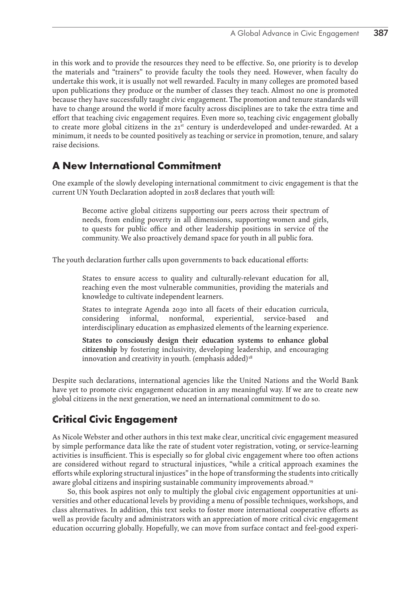<span id="page-6-0"></span>in this work and to provide the resources they need to be effective. So, one priority is to develop the materials and "trainers" to provide faculty the tools they need. However, when faculty do undertake this work, it is usually not well rewarded. Faculty in many colleges are promoted based upon publications they produce or the number of classes they teach. Almost no one is promoted because they have successfully taught civic engagement. The promotion and tenure standards will have to change around the world if more faculty across disciplines are to take the extra time and effort that teaching civic engagement requires. Even more so, teaching civic engagement globally to create more global citizens in the 21<sup>st</sup> century is underdeveloped and under-rewarded. At a minimum, it needs to be counted positively as teaching or service in promotion, tenure, and salary raise decisions.

# **A New International Commitment**

One example of the slowly developing international commitment to civic engagement is that the current UN Youth Declaration adopted in 2018 declares that youth will:

Become active global citizens supporting our peers across their spectrum of needs, from ending poverty in all dimensions, supporting women and girls, to quests for public office and other leadership positions in service of the community. We also proactively demand space for youth in all public fora.

The youth declaration further calls upon governments to back educational efforts:

States to ensure access to quality and culturally-relevant education for all, reaching even the most vulnerable communities, providing the materials and knowledge to cultivate independent learners.

States to integrate Agenda 2030 into all facets of their education curricula, considering informal, nonformal, experiential, service-based and interdisciplinary education as emphasized elements of the learning experience.

**States to consciously design their education systems to enhance global citizenship** by fostering inclusivity, developing leadership, and encouraging innovation and creativity in youth. (emphasis added)<sup>18</sup>

Despite such declarations, international agencies like the United Nations and the World Bank have yet to promote civic engagement education in any meaningful way. If we are to create new global citizens in the next generation, we need an international commitment to do so.

# **Critical Civic Engagement**

As Nicole Webster and other authors in this text make clear, uncritical civic engagement measured by simple performance data like the rate of student voter registration, voting, or service-learning activities is insufficient. This is especially so for global civic engagement where too often actions are considered without regard to structural injustices, "while a critical approach examines the efforts while exploring structural injustices" in the hope of transforming the students into critically aware global citizens and inspiring sustainable community improvements abroad.[19](#page-9-0)

So, this book aspires not only to multiply the global civic engagement opportunities at universities and other educational levels by providing a menu of possible techniques, workshops, and class alternatives. In addition, this text seeks to foster more international cooperative efforts as well as provide faculty and administrators with an appreciation of more critical civic engagement education occurring globally. Hopefully, we can move from surface contact and feel-good experi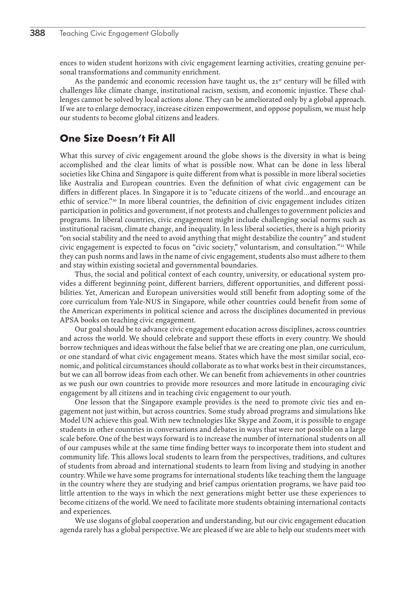<span id="page-7-0"></span>ences to widen student horizons with civic engagement learning activities, creating genuine personal transformations and community enrichment.

As the pandemic and economic recession have taught us, the  $21<sup>st</sup>$  century will be filled with challenges like climate change, institutional racism, sexism, and economic injustice. These challenges cannot be solved by local actions alone. They can be ameliorated only by a global approach. If we are to enlarge democracy, increase citizen empowerment, and oppose populism, we must help our students to become global citizens and leaders.

#### **One Size Doesn't Fit All**

What this survey of civic engagement around the globe shows is the diversity in what is being accomplished and the clear limits of what is possible now. What can be done in less liberal societies like China and Singapore is quite different from what is possible in more liberal societies like Australia and European countries. Even the definition of what civic engagement can be differs in different places. In Singapore it is to "educate citizens of the world…and encourage an ethic of service."<sup>20</sup> In more liberal countries, the definition of civic engagement includes citizen participation in politics and government, if not protests and challenges to government policies and programs. In liberal countries, civic engagement might include challenging social norms such as institutional racism, climate change, and inequality. In less liberal societies, there is a high priority "on social stability and the need to avoid anything that might destabilize the country" and student civic engagement is expected to focus on "civic society," voluntarism, and consultation."<sup>21</sup> While they can push norms and laws in the name of civic engagement, students also must adhere to them and stay within existing societal and governmental boundaries.

Thus, the social and political context of each country, university, or educational system provides a different beginning point, different barriers, different opportunities, and different possibilities. Yet, American and European universities would still benefit from adopting some of the core curriculum from Yale-NUS in Singapore, while other countries could benefit from some of the American experiments in political science and across the disciplines documented in previous APSA books on teaching civic engagement.

Our goal should be to advance civic engagement education across disciplines, across countries and across the world. We should celebrate and support these efforts in every country. We should borrow techniques and ideas without the false belief that we are creating one plan, one curriculum, or one standard of what civic engagement means. States which have the most similar social, economic, and political circumstances should collaborate as to what works best in their circumstances, but we can all borrow ideas from each other. We can benefit from achievements in other countries as we push our own countries to provide more resources and more latitude in encouraging civic engagement by all citizens and in teaching civic engagement to our youth.

One lesson that the Singapore example provides is the need to promote civic ties and engagement not just within, but across countries. Some study abroad programs and simulations like Model UN achieve this goal. With new technologies like Skype and Zoom, it is possible to engage students in other countries in conversations and debates in ways that were not possible on a large scale before. One of the best ways forward is to increase the number of international students on all of our campuses while at the same time finding better ways to incorporate them into student and community life. This allows local students to learn from the perspectives, traditions, and cultures of students from abroad and international students to learn from living and studying in another country. While we have some programs for international students like teaching them the language in the country where they are studying and brief campus orientation programs, we have paid too little attention to the ways in which the next generations might better use these experiences to become citizens of the world. We need to facilitate more students obtaining international contacts and experiences.

We use slogans of global cooperation and understanding, but our civic engagement education agenda rarely has a global perspective. We are pleased if we are able to help our students meet with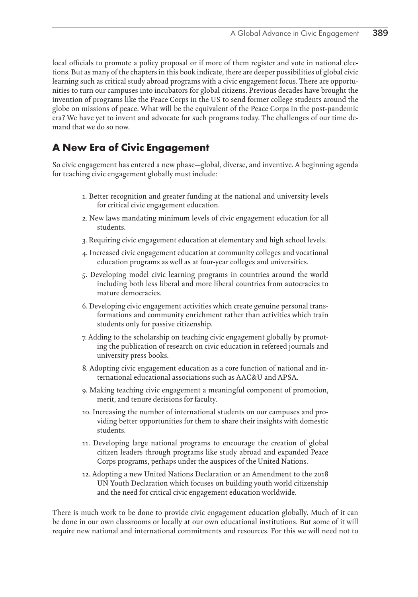local officials to promote a policy proposal or if more of them register and vote in national elections. But as many of the chapters in this book indicate, there are deeper possibilities of global civic learning such as critical study abroad programs with a civic engagement focus. There are opportunities to turn our campuses into incubators for global citizens. Previous decades have brought the invention of programs like the Peace Corps in the US to send former college students around the globe on missions of peace. What will be the equivalent of the Peace Corps in the post-pandemic era? We have yet to invent and advocate for such programs today. The challenges of our time demand that we do so now.

# **A New Era of Civic Engagement**

So civic engagement has entered a new phase—global, diverse, and inventive. A beginning agenda for teaching civic engagement globally must include:

- 1. Better recognition and greater funding at the national and university levels for critical civic engagement education.
- 2. New laws mandating minimum levels of civic engagement education for all students.
- 3. Requiring civic engagement education at elementary and high school levels.
- 4. Increased civic engagement education at community colleges and vocational education programs as well as at four-year colleges and universities.
- 5. Developing model civic learning programs in countries around the world including both less liberal and more liberal countries from autocracies to mature democracies.
- 6. Developing civic engagement activities which create genuine personal transformations and community enrichment rather than activities which train students only for passive citizenship.
- 7. Adding to the scholarship on teaching civic engagement globally by promoting the publication of research on civic education in refereed journals and university press books.
- 8. Adopting civic engagement education as a core function of national and international educational associations such as AAC&U and APSA.
- 9. Making teaching civic engagement a meaningful component of promotion, merit, and tenure decisions for faculty.
- 10. Increasing the number of international students on our campuses and providing better opportunities for them to share their insights with domestic students.
- 11. Developing large national programs to encourage the creation of global citizen leaders through programs like study abroad and expanded Peace Corps programs, perhaps under the auspices of the United Nations.
- 12. Adopting a new United Nations Declaration or an Amendment to the 2018 UN Youth Declaration which focuses on building youth world citizenship and the need for critical civic engagement education worldwide.

There is much work to be done to provide civic engagement education globally. Much of it can be done in our own classrooms or locally at our own educational institutions. But some of it will require new national and international commitments and resources. For this we will need not to